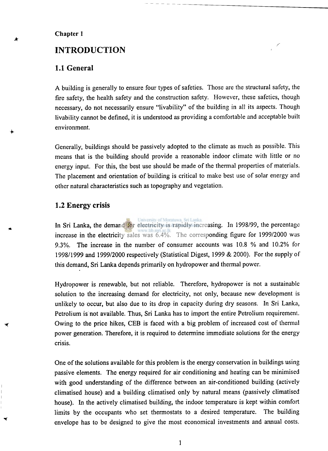#### **Chapter 1**

# **INTRODUCTION**

## **1.1 General**

**A building is generally to ensure four types of safeties. Those are the structural safety, the fire safety, the health safety and the construction safety. However, these safeties, though necessary, do not necessarily ensure "livability" of the building in all its aspects. Though livability cannot be defined, it is understood as providing a comfortable and acceptable built environment.** 

**Generally, buildings should be passively adopted to the climate as much as possible. This means that is the building should provide a reasonable indoor climate with little or no energy input. For this, the best use should be made of the thermal properties of materials. The placement and orientation of building is critical to make best use of solar energy and other natural characteristics such as topography and vegetation.** 

### **1.2 Energy crisis**

◥

**In Sri Lanka, the demand for electricity is rapidly increasing. In 1998/99, the percentage increase in the electricity sales was 6.4%. The corresponding figure for 1999/2000 was 9.3%. The increase in the number of consumer accounts was 10.8 % and 10.2% for 1998/1999 and 1999/2000 respectively (Statistical Digest, 1999 & 2000). For the supply of this demand, Sri Lanka depends primarily on hydropower and thermal power.** 

**Hydropower is renewable, but not reliable. Therefore, hydropower is not a sustainable solution to the increasing demand for electricity, not only, because new development is unlikely to occur, but also due to its drop in capacity during dry seasons. In Sri Lanka, Petrolium is not available. Thus, Sri Lanka has to import the entire Petrolium requirement. Owing to the price hikes, CEB is faced with a big problem of increased cost of thermal power generation. Therefore, it is required to determine immediate solutions for the energy crisis.** 

**One of the solutions available for this problem is the energy conservation in buildings using passive elements. The energy required for air conditioning and heating can be minimised with good understanding of the difference between an air-conditioned building (actively climatised house) and a building climatised only by natural means (passively climatised house). In the actively climatised building, the indoor temperature is kept within comfort limits by the occupants who set thermostats to a desired temperature. The building envelope has to be designed to give the most economical investments and annual costs.**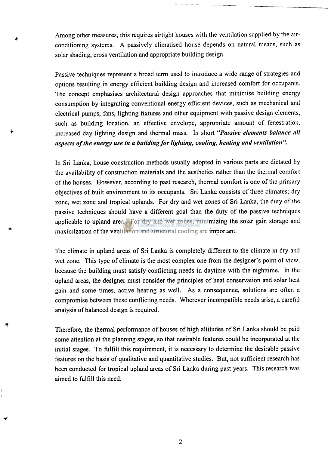**Among other measures, this requires airtight houses with the ventilation supplied by the airconditioning systems. A passively climatised house depends on natural means, such as solar shading, cross ventilation and appropriate building design.** 

**Passive techniques represent a broad term used to introduce a wide range of strategies and options resulting in energy efficient building design and increased comfort for occupants. The concept emphasises architectural design approaches that minimise building energy consumption by integrating conventional energy efficient devices, such as mechanical and electrical pumps, fans, lighting fixtures and other equipment with passive design elements, such as building location, an effective envelope, appropriate amount of fenestration, increased day lighting design and thermal mass. In short** *"Passive elements balance all aspects of the energy use in a building for lighting, cooling, heating and ventilation ".* 

**In Sri Lanka, house construction methods usually adopted in various parts are dictated by the availability of construction materials and the aesthetics rather than the thermal comfort of the houses. However, according to past research, thermal comfort is one of the primary objectives of built environment to its occupants. Sri Lanka consists of three climates; dry zone, wet zone and tropical uplands. For dry and wet zones of Sri Lanka, the duty of the passive techniques should have a different goal than the duty of the passive techniques applicable to upland area. For dry and wet zones, minimizing the solar gain storage and maximization of the ventilation and structural cooling are important.** 

**The climate in upland areas of Sri Lanka is completely different to the climate in dry and wet zone. This type of climate is the most complex one from the designer's point of view, because the building must satisfy conflicting needs in daytime with the nighttime. In the upland areas, the designer must consider the principles of heat conservation and solar heat gain and some times, active heating as well. As a consequence, solutions are often a compromise between these conflicting needs. Wherever incompatible needs arise, a careful analysis of balanced design is required.** 

**Therefore, the thermal performance of houses of high altitudes of Sri Lanka should be paid some attention at the planning stages, so that desirable features could be incorporated at the initial stages. To fulfill this requirement, it is necessary to determine the desirable passive features on the basis of qualitative and quantitative studies. But, not sufficient research has been conducted for tropical upland areas of Sri Lanka during past years. This research was aimed to fulfill this need.**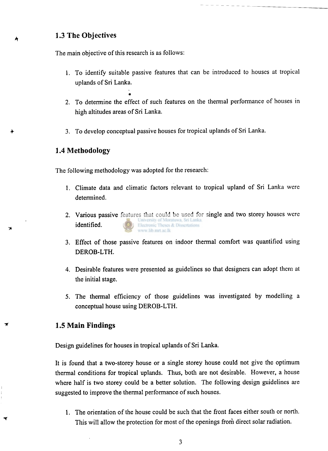## **1.3 The Objectives**

**The main objective of this research is as follows:** 

- **1. To identify suitable passive features that can be introduced to houses at tropical uplands of Sri Lanka.**
- **2. To determine the effect of such features on the thermal performance of houses in high altitudes areas of Sri Lanka.**
- **3. To develop conceptual passive houses for tropical uplands of Sri Lanka.**

### **1.4 Methodology**

**The following methodology was adopted for the research:** 

**»** 

- **1. Climate data and climatic factors relevant to tropical upland of Sri Lanka were determined.**
- **2. Various passive features that could be used for single and two storey houses were identified.**  Electronic Theses & Dissertations www.lib.mrt.ac.lk
- **3. Effect of those passive features on indoor thermal comfort was quantified using DEROB-LTH.**
- **4. Desirable features were presented as guidelines so that designers can adopt them at the initial stage.**
- 5. **The thermal efficiency of those guidelines was investigated by modelling a conceptual house using DEROB-LTH.**

#### **1.5 Main Findings**

**Design guidelines for houses in tropical uplands of Sri Lanka.** 

**It is found that a two-storey house or a single storey house could not give the optimum thermal conditions for tropical uplands. Thus, both are not desirable. However, a house where half is two storey could be a better solution. The following design guidelines are suggested to improve the thermal performance of such houses.** 

**1. The orientation of the house could be such that the front faces either south or north. This will allow the protection for most of the openings from direct solar radiation.**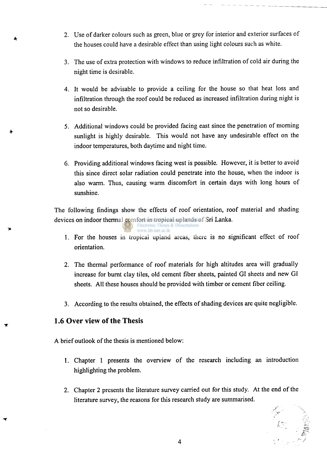- **2. Use of darker colours such as green, blue or grey for interior and exterior surfaces of the houses could have a desirable effect than using light colours such as white.**
- **3. The use of extra protection with windows to reduce infiltration of cold air during the night time is desirable.**
- **4. It would be advisable to provide a ceiling for the house so that heat loss and infiltration through the roof could be reduced as increased infiltration during night is not so desirable.**
- 5. **Additional windows could be provided facing east since the penetration of morning sunlight is highly desirable. This would not have any undesirable effect on the indoor temperatures, both daytime and night time.**
- **6. Providing additional windows facing west is possible. However, it is better to avoid this since direct solar radiation could penetrate into the house, when the indoor is also warm. Thus, causing warm discomfort in certain days with long hours of sunshine.**

**The following findings show the effects of roof orientation, roof material and shading devices on indoor thermal comfort in tropical uplands of Sri Lanka.** 

www.lib.mrt.ac.lk

- **1. For the houses in tropical upland areas, there is no significant effect of roof orientation.**
- **2. The thermal performance of roof materials for high altitudes area will gradually increase for burnt clay tiles, old cement fiber sheets, painted GI sheets and new GI sheets. All these houses should be provided with timber or cement fiber ceiling.**
- **3. According to the results obtained, the effects of shading devices are quite negligible.**

# **1.6 Over view of the Thesis**

**A brief outlook of the thesis is mentioned below:** 

- **1. Chapter 1 presents the overview of the research including an introduction highlighting the problem.**
- **2. Chapter 2 presents the literature survey carried out for this study. At the end of the literature survey, the reasons for this research study are summarised.**